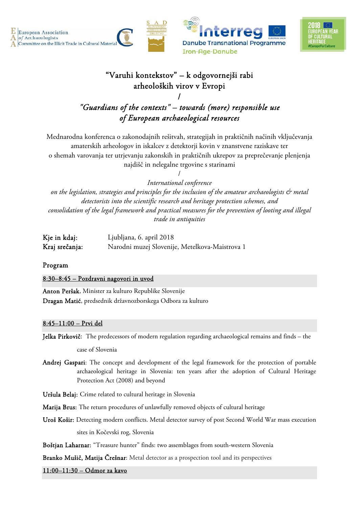





# "Varuhi kontekstov" – k odgovornejši rabi arheoloških virov v Evropi

## / *"Guardians of the contexts" – towards (more) responsible use of European archaeological resources*

Mednarodna konferenca o zakonodajnih rešitvah, strategijah in praktičnih načinih vključevanja amaterskih arheologov in iskalcev z detektorji kovin v znanstvene raziskave ter o shemah varovanja ter utrjevanju zakonskih in praktičnih ukrepov za preprečevanje plenjenja najdišč in nelegalne trgovine s starinami

> / *International conference*

*on the legislation, strategies and principles for the inclusion of the amateur archaeologists & metal detectorists into the scientific research and heritage protection schemes, and consolidation of the legal framework and practical measures for the prevention of looting and illegal trade in antiquities* 

| Kje in kdaj:   | Ljubljana, 6. april 2018                       |
|----------------|------------------------------------------------|
| Kraj srečanja: | Narodni muzej Slovenije, Metelkova-Maistrova 1 |

Program

8:30–8:45 – Pozdravni nagovori in uvod

Anton Peršak, Minister za kulturo Republike Slovenije Dragan Matić, predsednik državnozborskega Odbora za kulturo

#### 8:45–11:00 – Prvi del

Jelka Pirkovič: The predecessors of modern regulation regarding archaeological remains and finds – the

case of Slovenia

Andrej Gaspari: The concept and development of the legal framework for the protection of portable archaeological heritage in Slovenia: ten years after the adoption of Cultural Heritage Protection Act (2008) and beyond

Uršula Belaj: Crime related to cultural heritage in Slovenia

Marija Brus: The return procedures of unlawfully removed objects of cultural heritage

Uroš Košir: Detecting modern conflicts. Metal detector survey of post Second World War mass execution

sites in Kočevski rog, Slovenia

Boštjan Laharnar: "Treasure hunter" finds: two assemblages from south-western Slovenia

Branko Mušič, Matija Črešnar: Metal detector as a prospection tool and its perspectives

11:00–11:30 – Odmor za kavo